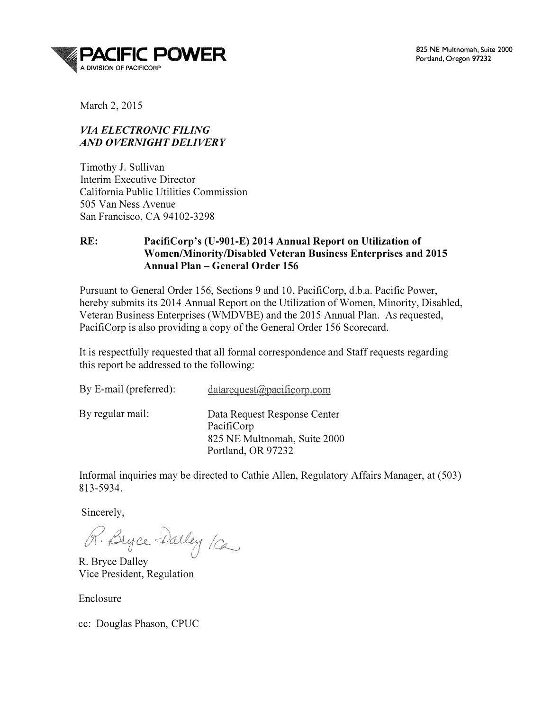

March 2, 2015

#### VIA ELECTRONIC FILING AND OVERNIGHT DELIVERY

Timothy J. Sullivan Interim Executive Director California Public Utilities Commission 505 Van Ness Avenue San Francisco, CA 94102-3298

#### RE: PacifiCorp's (U-901-E) 2014 Annual Report on Utilization of Women/Minority/Disabled Veteran Business Enterprises and 2015 Annual Plan- General Order 156

Pursuant to General Order 156, Sections 9 and 10, PacifiCorp, d.b.a. Pacific Power, hereby submits its 2014 Annual Report on the Utilization of Women, Minority, Disabled, Veteran Business Enterprises (WMDVBE) and the 2015 Annual Plan. As requested, PacifiCorp is also providing a copy of the General Order 156 Scorecard.

It is respectfully requested that all formal correspondence and Staff requests regarding this report be addressed to the following:

| By E-mail (preferred): | $data request(\omega\text{pacificorp.com})$                                                      |
|------------------------|--------------------------------------------------------------------------------------------------|
| By regular mail:       | Data Request Response Center<br>PacifiCorp<br>825 NE Multnomah, Suite 2000<br>Portland, OR 97232 |

Informal inquiries may be directed to Cathie Allen, Regulatory Affairs Manager, at (503) 813-5934.

Sincerely,<br>R. Bryce Darley /ca

R. Bryce Dalley Vice President, Regulation

Enclosure

cc: Douglas Phason, CPUC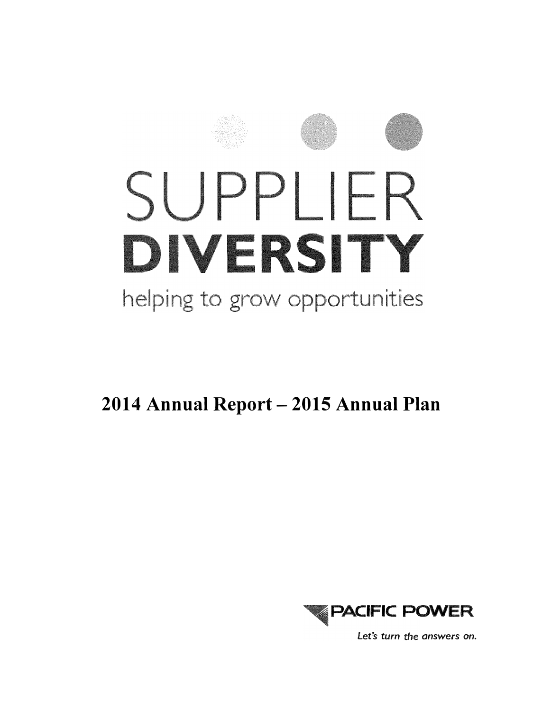

2014 Annual Report - 2015 Annual Plan



Let's turn the answers on.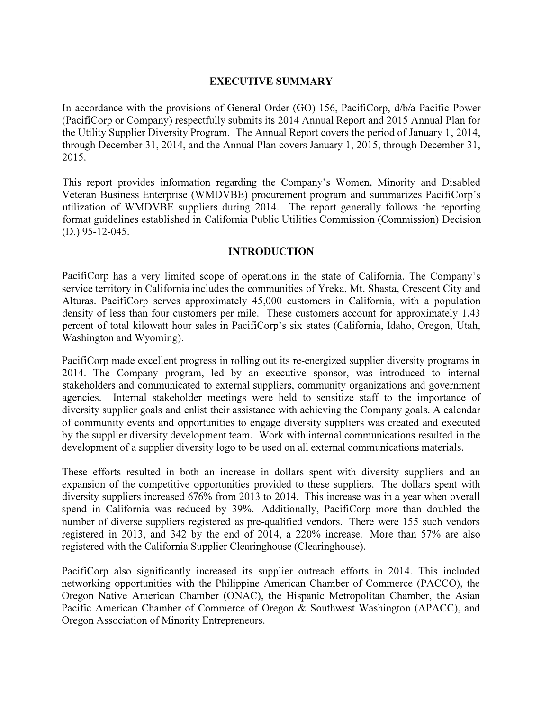#### EXECUTIVE SUMMARY

In accordance with the provisions of General Order (GO) 156, PacifiCorp, d/b/a Pacific Power (PacifiCorp or Company) respectfully submits its 2014 Annual Report and 2015 Annual Plan for the Utility Supplier Diversity Program. The Annual Report covers the period of January 1, 2014, through December 31, 2014, and the Annual Plan covers January 1, 2015, through December 31, 2015.

This report provides information regarding the Company's Women, Minority and Disabled Veteran Business Enterprise (WMDVBE) procurement program and summarizes PacifiCorp's utilization of WMDVBE suppliers during 2014. The report generally follows the reporting format guidelines established in California Public Utilities Commission (Commission) Decision (D.) 95-12-045.

#### INTRODUCTION

PacifiCorp has a very limited scope of operations in the state of California. The Company's service territory in California includes the communities of Yreka, Mt. Shasta, Crescent City and Alturas. PacifiCorp serves approximately 45,000 customers in California, with a population density of less than four customers per mile. These customers account for approximately 1.43 percent of total kilowatt hour sales in PacifiCorp's six states (California, Idaho, Oregon, Utah, Washington and Wyoming).

PacifiCorp made excellent progress in rolling out its re-energized supplier diversity programs in 2014. The Company program, led by an executive sponsor, was introduced to internal stakeholders and communicated to external suppliers, community organizations and government agencies. Internal stakeholder meetings were held to sensitize staff to the importance of diversity supplier goals and enlist their assistance with achieving the Company goals. A calendar of community events and opportunities to engage diversity suppliers was created and executed by the supplier diversity development team. Work with internal communications resulted in the development of a supplier diversity logo to be used on all external communications materials.

These efforts resulted in both an increase in dollars spent with diversity suppliers and an expansion of the competitive opportunities provided to these suppliers. The dollars spent with diversity suppliers increased 676% from 2013 to 2014. This increase was in a year when overall spend in California was reduced by 39%. Additionally, PacifiCorp more than doubled the number of diverse suppliers registered as pre-qualified vendors. There were 155 such vendors registered in 2013, and 342 by the end of 2014, a 220% increase. More than 57% are also registered with the California Supplier Clearinghouse (Clearinghouse).

PacifiCorp also significantly increased its supplier outreach efforts in 2014. This included networking opportunities with the Philippine American Chamber of Commerce (PACCO), the Oregon Native American Chamber (ONAC), the Hispanic Metropolitan Chamber, the Asian Pacific American Chamber of Commerce of Oregon & Southwest Washington (APACC), and Oregon Association of Minority Entrepreneurs.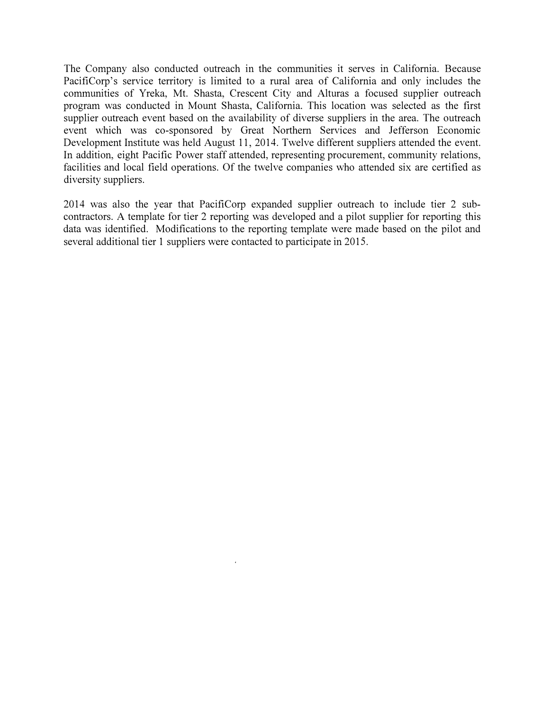The Company also conducted outreach in the communities it serves in California. Because PacifiCorp's service territory is limited to a rural area of California and only includes the communities of Yreka, Mt. Shasta, Crescent City and Alturas a focused supplier outreach program was conducted in Mount Shasta, California. This location was selected as the first supplier outreach event based on the availability of diverse suppliers in the area. The outreach event which was co-sponsored by Great Northern Services and Jefferson Economic Development Institute was held August 11, 2014. Twelve different suppliers attended the event. In addition, eight Pacific Power staff attended, representing procurement, community relations, facilities and local field operations. Of the twelve companies who attended six are certified as diversity suppliers.

2014 was also the year that PacifiCorp expanded supplier outreach to include tier 2 subcontractors. A template for tier 2 reporting was developed and a pilot supplier for reporting this data was identified. Modifications to the reporting template were made based on the pilot and several additional tier 1 suppliers were contacted to participate in 2015.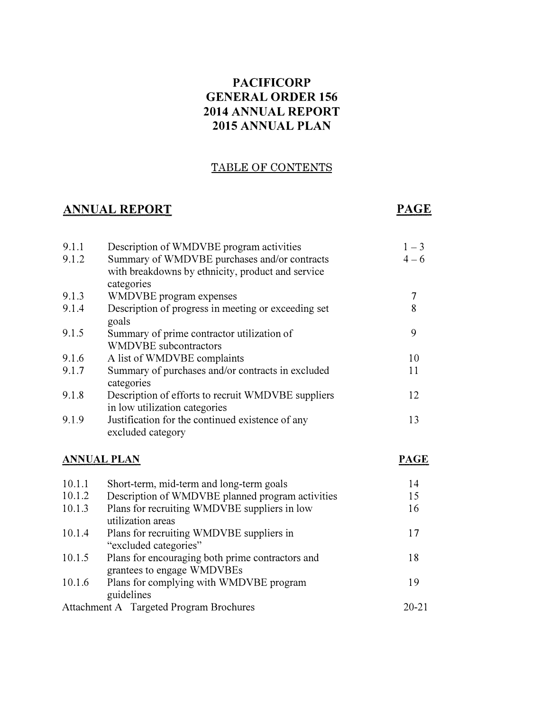### PACIFICORP GENERAL ORDER 156 2014 ANNUAL REPORT 2015 ANNUAL PLAN

#### TABLE OF CONTENTS

### ANNUAL REPORT

### PAGE

| 9.1.1<br>9.1.2 | Description of WMDVBE program activities<br>Summary of WMDVBE purchases and/or contracts<br>with breakdowns by ethnicity, product and service<br>categories | $1 - 3$<br>$4 - 6$ |
|----------------|-------------------------------------------------------------------------------------------------------------------------------------------------------------|--------------------|
| 9.1.3          | WMDVBE program expenses                                                                                                                                     | 7                  |
| 9.1.4          | Description of progress in meeting or exceeding set<br>goals                                                                                                | 8                  |
| 9.1.5          | Summary of prime contractor utilization of<br><b>WMDVBE</b> subcontractors                                                                                  | 9                  |
| 9.1.6          | A list of WMDVBE complaints                                                                                                                                 | 10                 |
| 9.1.7          | Summary of purchases and/or contracts in excluded<br>categories                                                                                             | 11                 |
| 9.1.8          | Description of efforts to recruit WMDVBE suppliers<br>in low utilization categories                                                                         | 12                 |
| 9.1.9          | Justification for the continued existence of any<br>excluded category                                                                                       | 13                 |

#### ANNUAL PLAN

#### PAGE

| 10.1.1 | Short-term, mid-term and long-term goals                                       | 14        |
|--------|--------------------------------------------------------------------------------|-----------|
| 10.1.2 | Description of WMDVBE planned program activities                               | 15        |
| 10.1.3 | Plans for recruiting WMDVBE suppliers in low<br>utilization areas              | 16        |
| 10.1.4 | Plans for recruiting WMDVBE suppliers in                                       | 17        |
|        | "excluded categories"                                                          |           |
| 10.1.5 | Plans for encouraging both prime contractors and<br>grantees to engage WMDVBEs | 18        |
| 10.1.6 | Plans for complying with WMDVBE program<br>guidelines                          | 19        |
|        | Attachment A Targeted Program Brochures                                        | $20 - 21$ |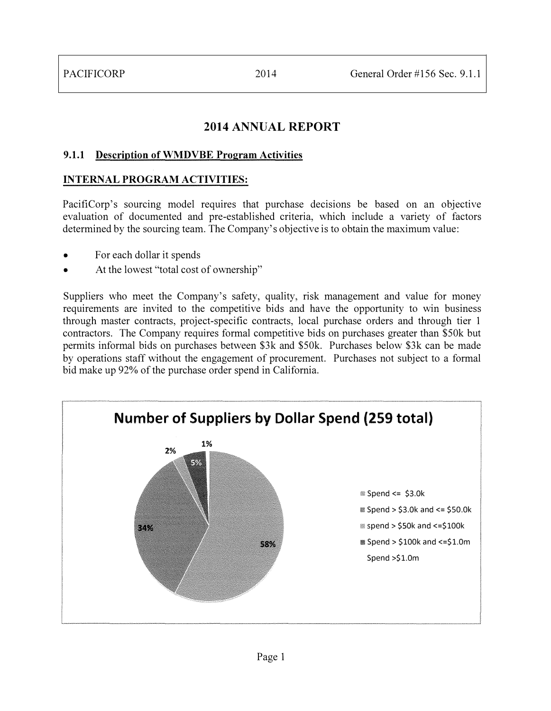### 2014 ANNUAL REPORT

#### 9.1.1 Description of WMDVBE Program Activities

#### INTERNAL PROGRAM ACTIVITIES:

PacifiCorp's sourcing model requires that purchase decisions be based on an objective evaluation of documented and pre-established criteria, which include a variety of factors determined by the sourcing team. The Company's objective is to obtain the maximum value:

- For each dollar it spends
- At the lowest "total cost of ownership"

Suppliers who meet the Company's safety, quality, risk management and value for money requirements are invited to the competitive bids and have the opportunity to win business through master contracts, project-specific contracts, local purchase orders and through tier 1 contractors. The Company requires formal competitive bids on purchases greater than \$50k but permits informal bids on purchases between \$3k and \$50k. Purchases below \$3k can be made by operations staff without the engagement of procurement. Purchases not subject to a formal bid make up 92% of the purchase order spend in California.

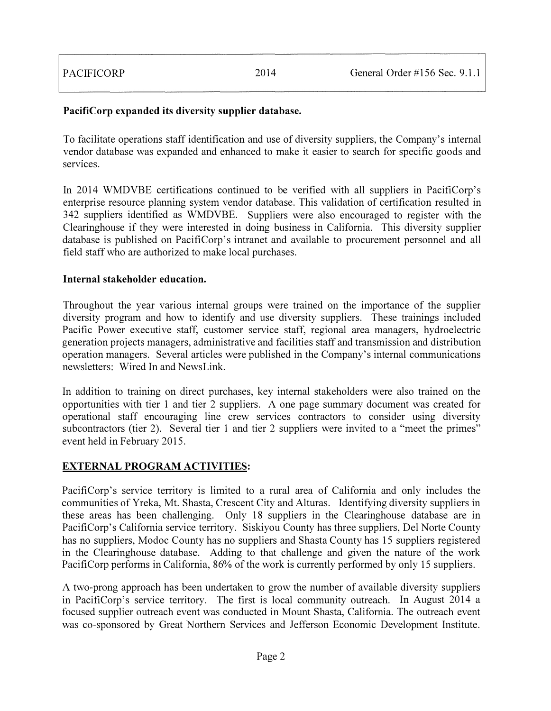#### PacifiCorp expanded its diversity supplier database.

To facilitate operations staff identification and use of diversity suppliers, the Company's internal vendor database was expanded and enhanced to make it easier to search for specific goods and services.

In 2014 WMDVBE certifications continued to be verified with all suppliers in PacifiCorp's enterprise resource planning system vendor database. This validation of certification resulted in 342 suppliers identified as WMDVBE. Suppliers were also encouraged to register with the Clearinghouse if they were interested in doing business in California. This diversity supplier database is published on PacifiCorp's intranet and available to procurement personnel and all field staff who are authorized to make local purchases.

#### Internal stakeholder education.

Throughout the year various internal groups were trained on the importance of the supplier diversity program and how to identify and use diversity suppliers. These trainings included Pacific Power executive staff, customer service staff, regional area managers, hydroelectric generation projects managers, administrative and facilities staff and transmission and distribution operation managers. Several articles were published in the Company's internal communications newsletters: Wired In and NewsLink.

In addition to training on direct purchases, key internal stakeholders were also trained on the opportunities with tier 1 and tier 2 suppliers. A one page summary document was created for operational staff encouraging line crew services contractors to consider using diversity subcontractors (tier 2). Several tier 1 and tier 2 suppliers were invited to a "meet the primes" event held in February 2015.

#### EXTERNAL PROGRAM ACTIVITIES:

PacifiCorp's service territory is limited to a rural area of California and only includes the communities of Yreka, Mt. Shasta, Crescent City and Alturas. Identifying diversity suppliers in these areas has been challenging. Only 18 suppliers in the Clearinghouse database are in PacifiCorp's California service territory. Siskiyou County has three suppliers, Del Norte County has no suppliers, Modoc County has no suppliers and Shasta County has 15 suppliers registered in the Clearinghouse database. Adding to that challenge and given the nature of the work PacifiCorp performs in California, 86% of the work is currently performed by only 15 suppliers.

A two-prong approach has been undertaken to grow the number of available diversity suppliers in PacifiCorp's service territory. The first is local community outreach. In August 2014 a focused supplier outreach event was conducted in Mount Shasta, California. The outreach event was co-sponsored by Great Northern Services and Jefferson Economic Development Institute.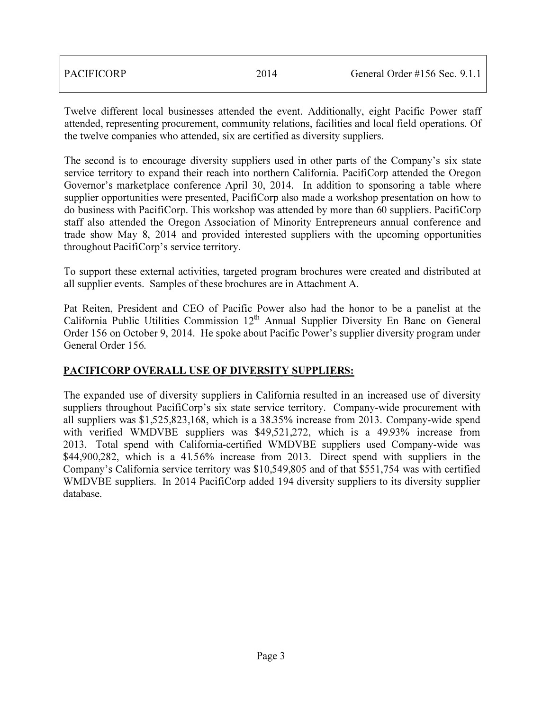| <b>PACIFICORP</b> | 2014 | General Order #156 Sec. $9.1.1$ |
|-------------------|------|---------------------------------|
|                   |      |                                 |

Twelve different local businesses attended the event. Additionally, eight Pacific Power staff attended, representing procurement, community relations, facilities and local field operations. Of the twelve companies who attended, six are certified as diversity suppliers.

The second is to encourage diversity suppliers used in other parts of the Company's six state service territory to expand their reach into northern California. PacifiCorp attended the Oregon Governor's marketplace conference April 30, 2014. In addition to sponsoring a table where supplier opportunities were presented, PacifiCorp also made a workshop presentation on how to do business with PacifiCorp. This workshop was attended by more than 60 suppliers. PacifiCorp staff also attended the Oregon Association of Minority Entrepreneurs annual conference and trade show May 8, 2014 and provided interested suppliers with the upcoming opportunities throughout PacifiCorp's service territory.

To support these external activities, targeted program brochures were created and distributed at all supplier events. Samples of these brochures are in Attachment A.

Pat Reiten, President and CEO of Pacific Power also had the honor to be a panelist at the California Public Utilities Commission 12<sup>th</sup> Annual Supplier Diversity En Banc on General Order 156 on October 9, 2014. He spoke about Pacific Power's supplier diversity program under General Order 156.

#### PACIFICORP OVERALL USE OF DIVERSITY SUPPLIERS:

The expanded use of diversity suppliers in California resulted in an increased use of diversity suppliers throughout PacifiCorp's six state service territory. Company-wide procurement with all suppliers was \$1,525,823,168, which is a 38.35% increase from 2013. Company-wide spend with verified WMDVBE suppliers was \$49,521,272, which is a 49.93% increase from 2013. Total spend with California-certified WMDVBE suppliers used Company-wide was \$44,900,282, which is a 41.56% increase from 2013. Direct spend with suppliers in the Company's California service territory was \$10,549,805 and of that \$551,754 was with certified WMDVBE suppliers. In 2014 PacifiCorp added 194 diversity suppliers to its diversity supplier database.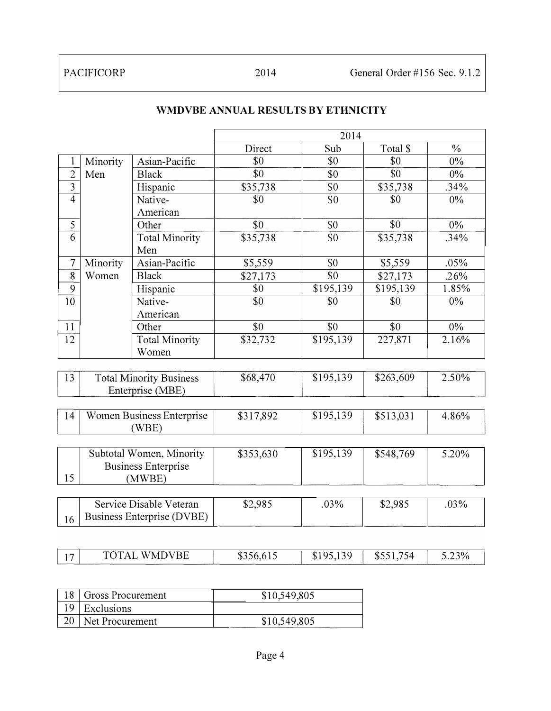|                |          |                                   |           | 2014      |           |               |
|----------------|----------|-----------------------------------|-----------|-----------|-----------|---------------|
|                |          |                                   | Direct    | Sub       | Total \$  | $\frac{0}{0}$ |
| 1              | Minority | Asian-Pacific                     | \$0       | \$0       | \$0       | $0\%$         |
| $\overline{2}$ | Men      | <b>Black</b>                      | \$0       | \$0       | \$0       | $0\%$         |
| 3              |          | Hispanic                          | \$35,738  | \$0       | \$35,738  | .34%          |
| $\overline{4}$ |          | Native-                           | \$0       | \$0       | \$0       | $0\%$         |
|                |          | American                          |           |           |           |               |
| 5              |          | Other                             | \$0       | \$0       | \$0       | $0\%$         |
| 6              |          | <b>Total Minority</b>             | \$35,738  | \$0       | \$35,738  | .34%          |
|                |          | Men                               |           |           |           |               |
| $\overline{7}$ | Minority | Asian-Pacific                     | \$5,559   | \$0       | \$5,559   | .05%          |
| 8              | Women    | <b>Black</b>                      | \$27,173  | \$0       | \$27,173  | .26%          |
| 9              |          | Hispanic                          | \$0       | \$195,139 | \$195,139 | 1.85%         |
| 10             |          | Native-                           | \$0       | \$0       | \$0       | 0%            |
|                |          | American                          |           |           |           |               |
| 11             |          | Other                             | \$0       | \$0       | \$0       | $0\%$         |
| 12             |          | <b>Total Minority</b>             | \$32,732  | \$195,139 | 227,871   | 2.16%         |
|                |          | Women                             |           |           |           |               |
|                |          |                                   |           |           |           |               |
| 13             |          | <b>Total Minority Business</b>    | \$68,470  | \$195,139 | \$263,609 | 2.50%         |
|                |          | Enterprise (MBE)                  |           |           |           |               |
|                |          |                                   |           |           |           |               |
| 14             |          | Women Business Enterprise         | \$317,892 | \$195,139 | \$513,031 | 4.86%         |
|                |          | (WBE)                             |           |           |           |               |
|                |          |                                   |           |           |           |               |
|                |          | Subtotal Women, Minority          | \$353,630 | \$195,139 | \$548,769 | 5.20%         |
|                |          | <b>Business Enterprise</b>        |           |           |           |               |
| 15             |          | (MWBE)                            |           |           |           |               |
|                |          |                                   |           |           |           |               |
|                |          | Service Disable Veteran           | \$2,985   | .03%      | \$2,985   | .03%          |
| 16             |          | <b>Business Enterprise (DVBE)</b> |           |           |           |               |

#### WMDVBE ANNUAL RESULTS BY ETHNICITY

| 'MDVBE<br>751<br>こつ20/<br>$\sigma$ $\sigma$ $\mu$<br>$\sim$ $\sim$<br>W<br>৲⊥<br>$D - 1$<br>D.<br>. . |  |  |  |  |  |  |  |
|-------------------------------------------------------------------------------------------------------|--|--|--|--|--|--|--|
|-------------------------------------------------------------------------------------------------------|--|--|--|--|--|--|--|

| 18 Gross Procurement | \$10,549,805 |
|----------------------|--------------|
| $19$ Exclusions      |              |
| 20   Net Procurement | \$10,549,805 |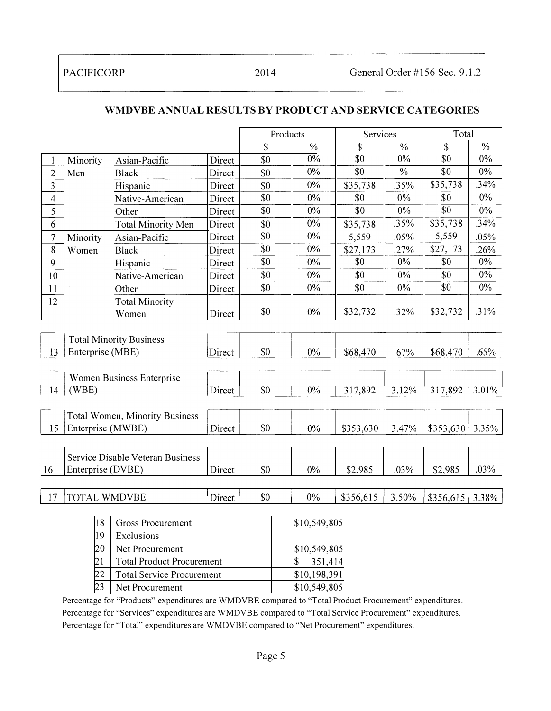|                |                     |                                       |        | Products |               | Services  |               | Total     |               |
|----------------|---------------------|---------------------------------------|--------|----------|---------------|-----------|---------------|-----------|---------------|
|                |                     |                                       |        | \$       | $\frac{0}{0}$ | \$        | $\frac{0}{0}$ | \$        | $\frac{0}{0}$ |
|                | Minority            | Asian-Pacific                         | Direct | \$0      | 0%            | \$0       | $0\%$         | \$0       | $0\%$         |
| $\mathbf{2}$   | Men                 | <b>Black</b>                          | Direct | \$0      | $0\%$         | \$0       | $\frac{0}{0}$ | \$0       | 0%            |
| $\overline{3}$ |                     | Hispanic                              | Direct | \$0      | $0\%$         | \$35,738  | .35%          | \$35,738  | .34%          |
| $\overline{4}$ |                     | Native-American                       | Direct | \$0      | 0%            | \$0       | $0\%$         | \$0       | 0%            |
| 5              |                     | Other                                 | Direct | \$0      | 0%            | \$0       | $0\%$         | \$0       | $0\%$         |
| 6              |                     | <b>Total Minority Men</b>             | Direct | \$0      | $0\%$         | \$35,738  | .35%          | \$35,738  | .34%          |
| 7              | Minority            | Asian-Pacific                         | Direct | \$0      | $0\%$         | 5,559     | .05%          | 5,559     | .05%          |
| 8              | Women               | <b>Black</b>                          | Direct | \$0      | $0\%$         | \$27,173  | .27%          | \$27,173  | .26%          |
| 9              |                     | Hispanic                              | Direct | \$0      | 0%            | \$0       | $0\%$         | \$0       | $0\%$         |
| 10             |                     | Native-American                       | Direct | \$0      | $0\%$         | \$0       | $0\%$         | \$0       | 0%            |
| 11             |                     | Other                                 | Direct | \$0      | $0\%$         | \$0       | $0\%$         | \$0       | $0\%$         |
| 12             |                     | <b>Total Minority</b>                 |        |          |               |           |               |           |               |
|                |                     | Women                                 | Direct | \$0      | $0\%$         | \$32,732  | .32%          | \$32,732  | .31%          |
|                |                     |                                       |        |          |               |           |               |           |               |
|                |                     | <b>Total Minority Business</b>        |        |          |               |           |               |           |               |
| 13             | Enterprise (MBE)    |                                       | Direct | \$0      | $0\%$         | \$68,470  | .67%          | \$68,470  | .65%          |
|                |                     |                                       |        |          |               |           |               |           |               |
|                |                     | Women Business Enterprise             |        |          |               |           |               |           |               |
| 14             | (WBE)               |                                       | Direct | \$0      | $0\%$         | 317,892   | 3.12%         | 317,892   | 3.01%         |
|                |                     |                                       |        |          |               |           |               |           |               |
|                |                     | <b>Total Women, Minority Business</b> |        |          |               |           |               |           |               |
| 15             | Enterprise (MWBE)   |                                       | Direct | \$0      | 0%            | \$353,630 | 3.47%         | \$353,630 | 3.35%         |
|                |                     |                                       |        |          |               |           |               |           |               |
|                |                     | Service Disable Veteran Business      |        |          |               |           |               |           |               |
| 16             | Enterprise (DVBE)   |                                       | Direct | \$0      | $0\%$         | \$2,985   | .03%          | \$2,985   | .03%          |
|                |                     |                                       |        |          |               |           |               |           |               |
| 17             | <b>TOTAL WMDVBE</b> |                                       | Direct | \$0      | 0%            | \$356,615 | 3.50%         | \$356,615 | 3.38%         |
|                |                     |                                       |        |          |               |           |               |           |               |

#### WMDVBE ANNUAL RESULTS BY PRODUCT AND SERVICE CATEGORIES

| 18  | Gross Procurement                | \$10,549,805 |
|-----|----------------------------------|--------------|
| 19  | Exclusions                       |              |
| 20  | Net Procurement                  | \$10,549,805 |
| 121 | <b>Total Product Procurement</b> | 351,414      |
| 22  | <b>Total Service Procurement</b> | \$10,198,391 |
| 23  | Net Procurement                  | \$10,549,805 |

Percentage for "Products" expenditures are WMDVBE compared to "Total Product Procurement" expenditures. Percentage for "Services" expenditures are WMDVBE compared to "Total Service Procurement" expenditures. Percentage for "Total" expenditures are WMDVBE compared to "Net Procurement" expenditures.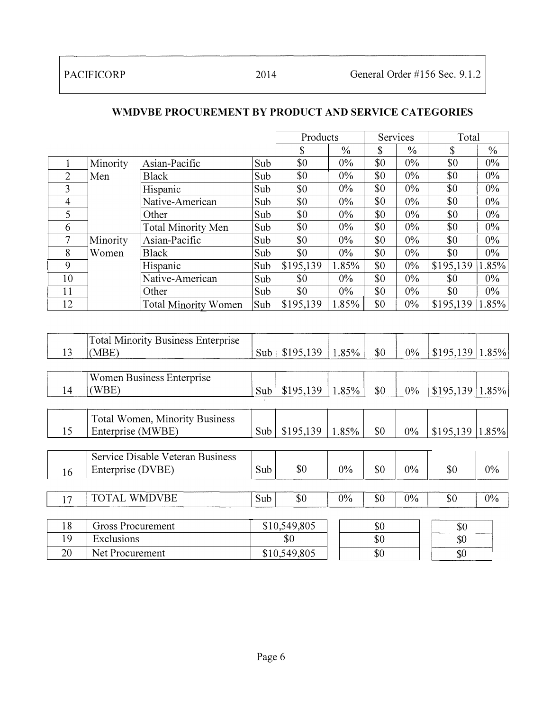16

Enterprise (DVBE)

|                |                   |                                           |     | Products  |               |     | Services      | Total     |               |
|----------------|-------------------|-------------------------------------------|-----|-----------|---------------|-----|---------------|-----------|---------------|
|                |                   |                                           |     | \$        | $\frac{0}{0}$ | \$  | $\frac{0}{0}$ | \$        | $\frac{0}{0}$ |
|                | Minority          | Asian-Pacific                             | Sub | \$0       | $0\%$         | \$0 | $0\%$         | \$0       | $0\%$         |
| $\overline{2}$ | Men               | <b>Black</b>                              | Sub | \$0       | 0%            | \$0 | 0%            | \$0       | $0\%$         |
| $\overline{3}$ |                   | Hispanic                                  | Sub | \$0       | $0\%$         | \$0 | 0%            | \$0       | $0\%$         |
| $\overline{4}$ |                   | Native-American                           | Sub | \$0       | $0\%$         | \$0 | $0\%$         | \$0       | 0%            |
| 5              |                   | Other                                     | Sub | \$0       | $0\%$         | \$0 | $0\%$         | \$0       | $0\%$         |
| 6              |                   | <b>Total Minority Men</b>                 | Sub | \$0       | $0\%$         | \$0 | $0\%$         | \$0       | $0\%$         |
| 7              | Minority          | Asian-Pacific                             | Sub | \$0       | $0\%$         | \$0 | $0\%$         | \$0       | $0\%$         |
| 8              | Women             | <b>Black</b>                              | Sub | \$0       | $0\%$         | \$0 | 0%            | \$0       | $0\%$         |
| $\overline{9}$ |                   | Hispanic                                  | Sub | \$195,139 | 1.85%         | \$0 | $0\%$         | \$195,139 | 1.85%         |
| 10             |                   | Native-American                           | Sub | \$0       | $0\%$         | \$0 | $0\%$         | \$0       | $0\%$         |
| 11             |                   | Other                                     | Sub | \$0       | $0\%$         | \$0 | $0\%$         | \$0       | $0\%$         |
| 12             |                   | <b>Total Minority Women</b>               | Sub | \$195,139 | 1.85%         | \$0 | $0\%$         | \$195,139 | 1.85%         |
|                |                   |                                           |     |           |               |     |               |           |               |
|                |                   | <b>Total Minority Business Enterprise</b> |     |           |               |     |               |           |               |
| 13             | (MBE)             |                                           | Sub | \$195,139 | 1.85%         | \$0 | $0\%$         | \$195,139 | 1.85%         |
|                |                   |                                           |     |           |               |     |               |           |               |
|                |                   | <b>Women Business Enterprise</b>          |     |           |               |     |               |           |               |
| 14             | (WBE)             |                                           | Sub | \$195,139 | 1.85%         | \$0 | $0\%$         | \$195,139 | $1.85\%$      |
|                |                   |                                           |     |           |               |     |               |           |               |
|                |                   | Total Women, Minority Business            |     |           |               |     |               |           |               |
| 15             | Enterprise (MWBE) |                                           | Sub | \$195,139 | 1.85%         | \$0 | $0\%$         | \$195,139 | 1.85%         |
|                |                   |                                           |     |           |               |     |               |           |               |
|                |                   | Service Disable Veteran Business          |     |           |               |     |               |           |               |

#### WMDVBE PROCUREMENT BY PRODUCT AND SERVICE CATEGORIES

|     | <b>TOTAL WMDVBE</b>      | \$0<br>Sub   | $0\%$ | \$0 | $0\%$ | \$0 | $0\%$ |
|-----|--------------------------|--------------|-------|-----|-------|-----|-------|
|     |                          |              |       |     |       |     |       |
| l 8 | <b>Gross Procurement</b> | \$10,549,805 |       | \$0 |       | Y.  |       |
|     | Exclusions               | \$θ          |       | \$0 |       | \$0 |       |
| 20  | Net Procurement          | \$10,549,805 |       | \$0 |       | w   |       |

Sub \$0 0% \$0 0% \$0 0%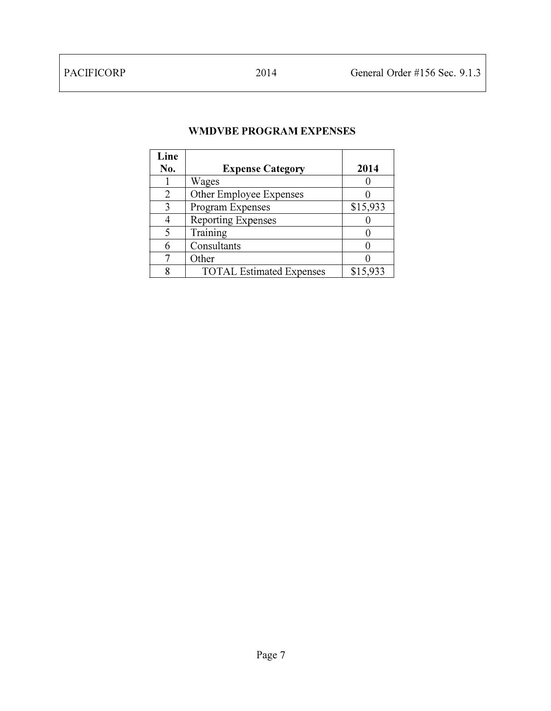#### WMDVBE PROGRAM EXPENSES

| Line |                                 |          |
|------|---------------------------------|----------|
| No.  | <b>Expense Category</b>         | 2014     |
|      | Wages                           |          |
| 2    | Other Employee Expenses         |          |
| 3    | Program Expenses                | \$15,933 |
|      | <b>Reporting Expenses</b>       |          |
| 5    | Training                        |          |
|      | Consultants                     |          |
|      | Other                           |          |
| 8    | <b>TOTAL Estimated Expenses</b> | \$15,933 |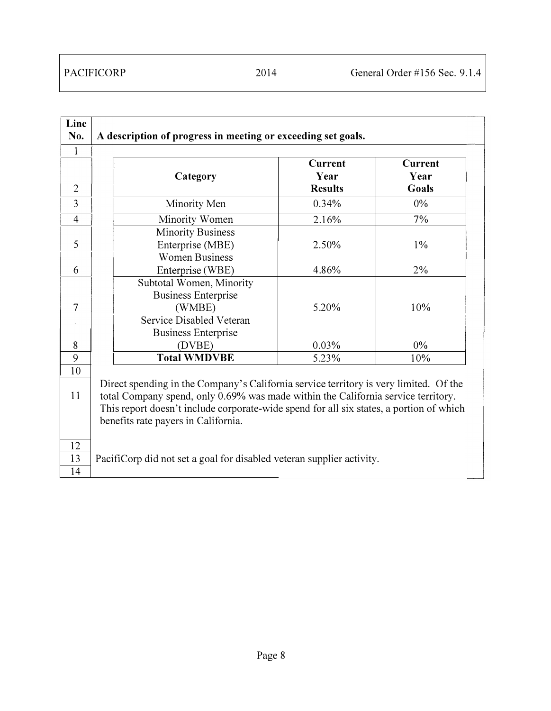| Line           |                                                                                         |                        |                |
|----------------|-----------------------------------------------------------------------------------------|------------------------|----------------|
| No.            | A description of progress in meeting or exceeding set goals.                            |                        |                |
| $\mathbf{1}$   |                                                                                         |                        |                |
|                |                                                                                         | <b>Current</b>         | <b>Current</b> |
| $\overline{2}$ | Category                                                                                | Year<br><b>Results</b> | Year<br>Goals  |
| 3              | Minority Men                                                                            | 0.34%                  | $0\%$          |
| $\overline{4}$ | Minority Women                                                                          | 2.16%                  | 7%             |
|                | <b>Minority Business</b>                                                                |                        |                |
| 5              | Enterprise (MBE)                                                                        | 2.50%                  | $1\%$          |
|                | <b>Women Business</b>                                                                   |                        |                |
| 6              | Enterprise (WBE)                                                                        | 4.86%                  | 2%             |
|                | Subtotal Women, Minority                                                                |                        |                |
|                | <b>Business Enterprise</b>                                                              |                        |                |
| 7              | (WMBE)                                                                                  | 5.20%                  | 10%            |
|                | Service Disabled Veteran                                                                |                        |                |
|                | <b>Business Enterprise</b>                                                              |                        |                |
| 8              | (DVBE)                                                                                  | 0.03%                  | $0\%$          |
| 9              | <b>Total WMDVBE</b>                                                                     | 5.23%                  | 10%            |
| 10             |                                                                                         |                        |                |
|                | Direct spending in the Company's California service territory is very limited. Of the   |                        |                |
| 11             | total Company spend, only 0.69% was made within the California service territory.       |                        |                |
|                | This report doesn't include corporate-wide spend for all six states, a portion of which |                        |                |
|                | benefits rate payers in California.                                                     |                        |                |
| 12             |                                                                                         |                        |                |
| 13             | PacifiCorp did not set a goal for disabled veteran supplier activity.                   |                        |                |
| 14             |                                                                                         |                        |                |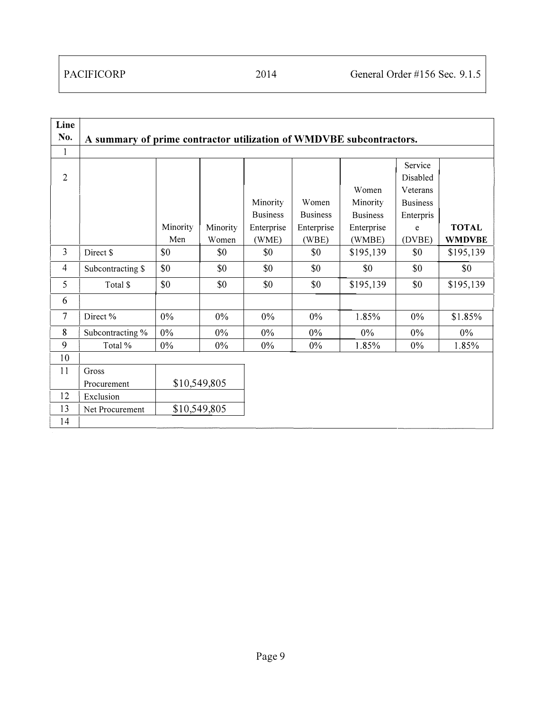| Line           |                                                                     |          |              |                 |                  |                 |                 |               |
|----------------|---------------------------------------------------------------------|----------|--------------|-----------------|------------------|-----------------|-----------------|---------------|
| No.            | A summary of prime contractor utilization of WMDVBE subcontractors. |          |              |                 |                  |                 |                 |               |
| $\mathbf{1}$   |                                                                     |          |              |                 |                  |                 |                 |               |
|                |                                                                     |          |              |                 |                  |                 | Service         |               |
| $\overline{2}$ |                                                                     |          |              |                 |                  |                 | Disabled        |               |
|                |                                                                     |          |              |                 |                  | Women           | Veterans        |               |
|                |                                                                     |          |              | Minority        | Women            | Minority        | <b>Business</b> |               |
|                |                                                                     |          |              | <b>Business</b> | <b>Business</b>  | <b>Business</b> | Enterpris       |               |
|                |                                                                     | Minority | Minority     | Enterprise      | Enterprise       | Enterprise      | e               | <b>TOTAL</b>  |
|                |                                                                     | Men      | Women        | (WME)           | (WBE)            | (WMBE)          | (DVBE)          | <b>WMDVBE</b> |
| $\mathfrak{Z}$ | Direct \$                                                           | \$0      | \$0          | \$0             | \$0              | \$195,139       | \$0             | \$195,139     |
| 4              | Subcontracting \$                                                   | \$0      | \$0          | \$0             | \$0              | \$0             | \$0             | \$0           |
| 5              | Total \$                                                            | \$0      | \$0          | \$0             | \$0<br>\$195,139 |                 | \$0             | \$195,139     |
| 6              |                                                                     |          |              |                 |                  |                 |                 |               |
| 7              | Direct %                                                            | $0\%$    | $0\%$        | $0\%$           | $0\%$            | 1.85%           | $0\%$           | \$1.85%       |
| 8              | Subcontracting %                                                    | $0\%$    | $0\%$        | $0\%$           | 0%               | $0\%$           | $0\%$           | $0\%$         |
| 9              | Total %                                                             | $0\%$    | $0\%$        | $0\%$           | $0\%$            | 1.85%           | 0%              | 1.85%         |
| 10             |                                                                     |          |              |                 |                  |                 |                 |               |
| 11             | Gross                                                               |          |              |                 |                  |                 |                 |               |
|                | Procurement                                                         |          | \$10,549,805 |                 |                  |                 |                 |               |
| 12             | Exclusion                                                           |          |              |                 |                  |                 |                 |               |
| 13             | \$10,549,805<br>Net Procurement                                     |          |              |                 |                  |                 |                 |               |
| 14             |                                                                     |          |              |                 |                  |                 |                 |               |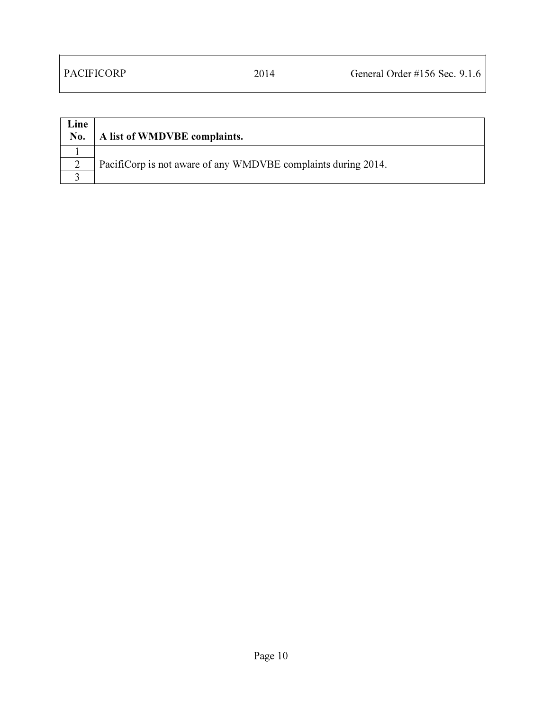| Line<br>No. | A list of WMDVBE complaints.                                  |
|-------------|---------------------------------------------------------------|
|             |                                                               |
|             | Pacificorp is not aware of any WMDVBE complaints during 2014. |
|             |                                                               |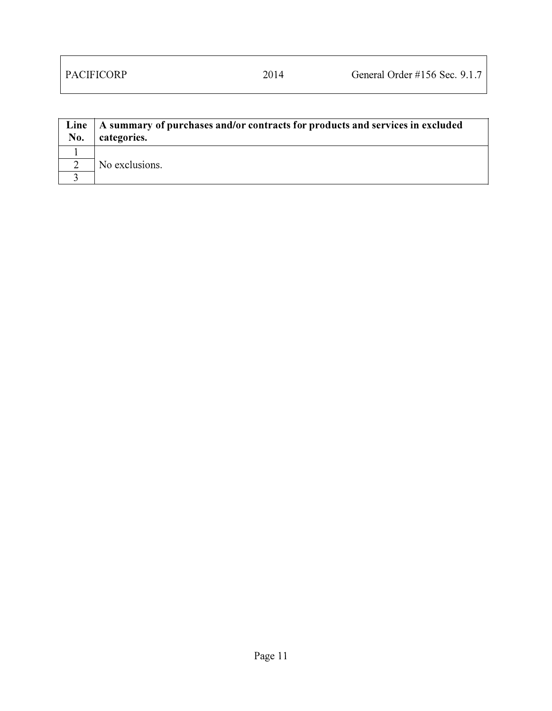| Line<br>No. | A summary of purchases and/or contracts for products and services in excluded<br>categories. |
|-------------|----------------------------------------------------------------------------------------------|
|             |                                                                                              |
|             | No exclusions.                                                                               |
|             |                                                                                              |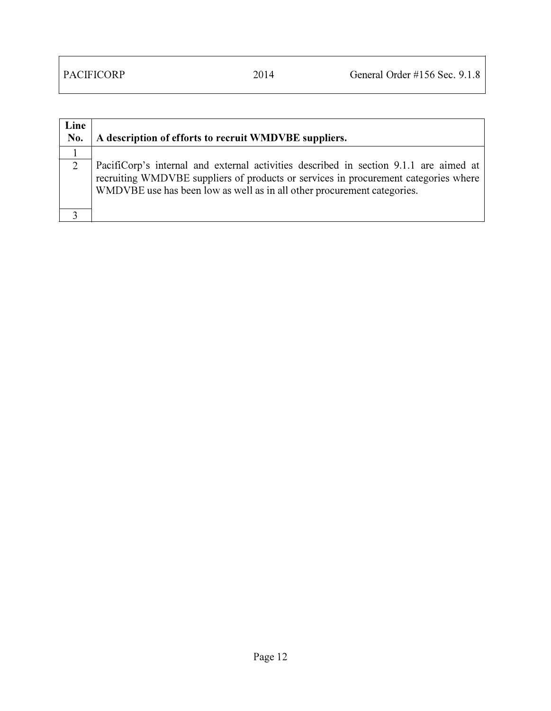| Line<br>No. | A description of efforts to recruit WMDVBE suppliers.                                                                                                                                                                                                   |
|-------------|---------------------------------------------------------------------------------------------------------------------------------------------------------------------------------------------------------------------------------------------------------|
|             |                                                                                                                                                                                                                                                         |
| 2           | PacifiCorp's internal and external activities described in section 9.1.1 are aimed at<br>recruiting WMDVBE suppliers of products or services in procurement categories where<br>WMDVBE use has been low as well as in all other procurement categories. |
|             |                                                                                                                                                                                                                                                         |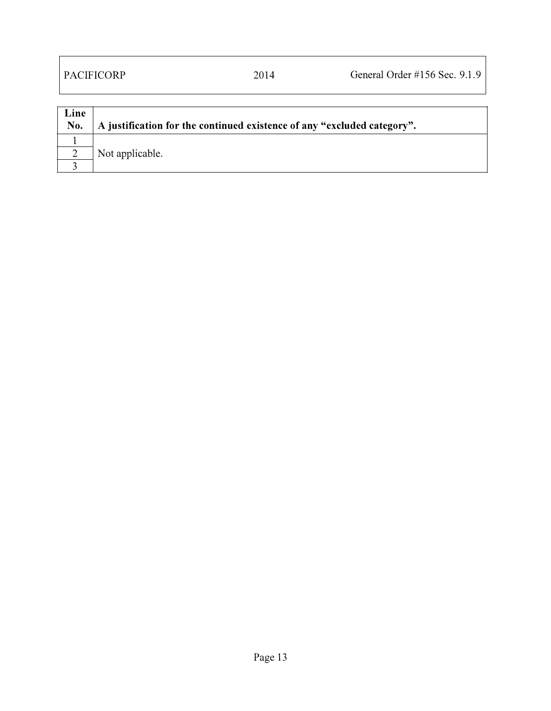| Line<br>No. | A justification for the continued existence of any "excluded category". |
|-------------|-------------------------------------------------------------------------|
|             |                                                                         |
|             | Not applicable.                                                         |
|             |                                                                         |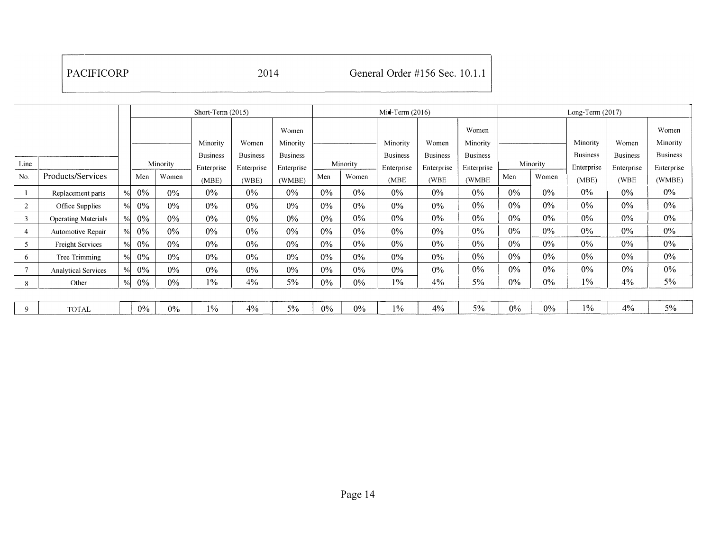|                |                            | Short-Term (2015) |       |          |                 |                 | $Mid-Term (2016)$ |       |          |                 | Long-Term (2017) |                 |       |          |                 |                 |                 |
|----------------|----------------------------|-------------------|-------|----------|-----------------|-----------------|-------------------|-------|----------|-----------------|------------------|-----------------|-------|----------|-----------------|-----------------|-----------------|
|                |                            |                   |       |          |                 |                 | Women             |       |          |                 |                  | Women           |       |          |                 |                 | Women           |
|                |                            |                   |       |          | Minority        | Women           | Minority          |       |          | Minority        | Women            | Minority        |       |          | Minority        | Women           | Minority        |
|                |                            |                   |       |          | <b>Business</b> | <b>Business</b> | <b>Business</b>   |       |          | <b>Business</b> | <b>Business</b>  | <b>Business</b> |       |          | <b>Business</b> | <b>Business</b> | <b>Business</b> |
| Line           |                            |                   |       | Minority | Enterprise      | Enterprise      | Enterprise        |       | Minority | Enterprise      | Enterprise       | Enterprise      |       | Minority | Enterprise      | Enterprise      | Enterprise      |
| No.            | Products/Services          |                   | Men   | Women    | (MBE)           | (WBE)           | (WMBE)            | Men   | Women    | (MBE)           | (WBE             | (WMBE)          | Men   | Women    | (MBE)           | (WBE)           | (WMBE)          |
|                | Replacement parts          | $\%$              | 0%    | $0\%$    | 0%              | $0\%$           | $0\%$             | $0\%$ | 0%       | $0\%$           | $0\%$            | $0\%$           | $0\%$ | $0\%$    | 0%              | $0\%$           | $0\%$           |
| $\overline{c}$ | Office Supplies            | $\frac{0}{0}$     | $0\%$ | $0\%$    | $0\%$           | $0\%$           | $0\%$             | $0\%$ | $0\%$    | $0\%$           | $0\%$            | $0\%$           | $0\%$ | $0\%$    | $0\%$           | $0\%$           | $0\%$           |
| 3              | <b>Operating Materials</b> | $\frac{0}{6}$     | 0%    | 0%       | 0%              | $0\%$           | $0\%$             | $0\%$ | $0\%$    | $0\%$           | $0\%$            | $0\%$           | $0\%$ | $0\%$    | $0\%$           | $0\%$           | $0\%$           |
| 4              | Automotive Repair          | $\frac{0}{0}$     | $0\%$ | $0\%$    | $0\%$           | $0\%$           | $0\%$             | $0\%$ | $0\%$    | 0%              | $0\%$            | $0\%$           | $0\%$ | $0\%$    | 0%              | $0\%$           | $0\%$           |
|                | <b>Freight Services</b>    | $\frac{0}{0}$     | 0%    | 0%       | 0%              | $0\%$           | $0\%$             | $0\%$ | $0\%$    | $0\%$           | $0\%$            | $0\%$           | $0\%$ | 0%       | 0%              | $0\%$           | $0\%$           |
| 6              | Tree Trimming              | $\frac{0}{0}$     | 0%    | $0\%$    | 0%              | $0\%$           | $0\%$             | $0\%$ | $0\%$    | $0\%$           | $0\%$            | $0\%$           | 0%    | 0%       | 0%              | $0\%$           | $0\%$           |
| 7              | <b>Analytical Services</b> | $\frac{0}{6}$     | $0\%$ | $0\%$    | 0%              | $0\%$           | $0\%$             | $0\%$ | $0\%$    | $0\%$           | $0\%$            | $0\%$           | $0\%$ | $0\%$    | 0%              | 0%              | $0\%$           |
| 8              | Other                      | $\frac{0}{0}$     | 0%    | $0\%$    | $1\%$           | 4%              | 5%                | $0\%$ | $0\%$    | $1\%$           | 4%               | 5%              | $0\%$ | $0\%$    | $1\%$           | 4%              | $5\%$           |
|                |                            |                   |       |          |                 |                 |                   |       |          |                 |                  |                 |       |          |                 |                 |                 |
| 9              | <b>TOTAL</b>               |                   | $0\%$ | $0\%$    | $1\%$           | 4%              | $5\%$             | $0\%$ | $0\%$    | 1%              | 4%               | 5%              | $0\%$ | $0\%$    | $1\%$           | $4\%$           | $5\%$           |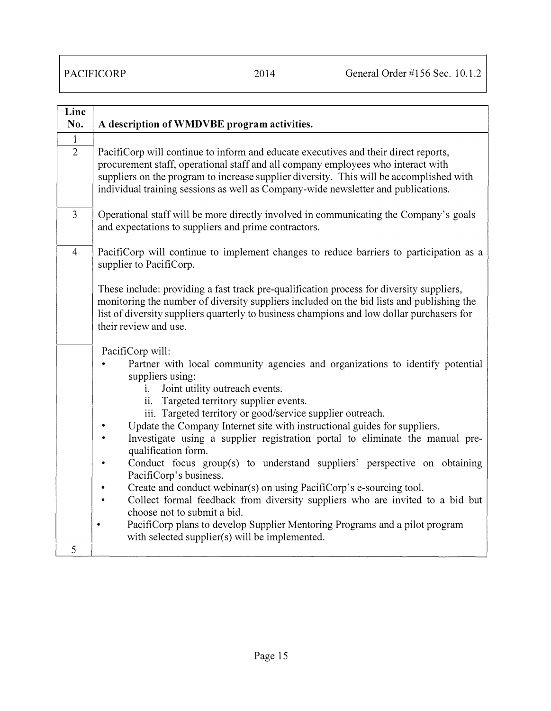| Line<br>No.                    | A description of WMDVBE program activities.                                                                                                                                                                                                                                                                 |
|--------------------------------|-------------------------------------------------------------------------------------------------------------------------------------------------------------------------------------------------------------------------------------------------------------------------------------------------------------|
| $\mathbf{1}$<br>$\overline{2}$ | PacifiCorp will continue to inform and educate executives and their direct reports,<br>procurement staff, operational staff and all company employees who interact with<br>suppliers on the program to increase supplier diversity. This will be accomplished with                                          |
|                                | individual training sessions as well as Company-wide newsletter and publications.                                                                                                                                                                                                                           |
| 3                              | Operational staff will be more directly involved in communicating the Company's goals<br>and expectations to suppliers and prime contractors.                                                                                                                                                               |
| $\overline{4}$                 | PacifiCorp will continue to implement changes to reduce barriers to participation as a<br>supplier to PacifiCorp.                                                                                                                                                                                           |
|                                | These include: providing a fast track pre-qualification process for diversity suppliers,<br>monitoring the number of diversity suppliers included on the bid lists and publishing the<br>list of diversity suppliers quarterly to business champions and low dollar purchasers for<br>their review and use. |
|                                | PacifiCorp will:<br>Partner with local community agencies and organizations to identify potential<br>suppliers using:<br>Joint utility outreach events.<br>$\mathbf{i}$ .<br>ii. Targeted territory supplier events.<br>iii. Targeted territory or good/service supplier outreach.                          |
|                                | Update the Company Internet site with instructional guides for suppliers.<br>Investigate using a supplier registration portal to eliminate the manual pre-<br>qualification form.                                                                                                                           |
|                                | Conduct focus group(s) to understand suppliers' perspective on obtaining<br>$\bullet$<br>PacifiCorp's business.                                                                                                                                                                                             |
|                                | Create and conduct webinar(s) on using PacifiCorp's e-sourcing tool.<br>$\bullet$<br>Collect formal feedback from diversity suppliers who are invited to a bid but<br>$\bullet$<br>choose not to submit a bid.                                                                                              |
|                                | PacifiCorp plans to develop Supplier Mentoring Programs and a pilot program<br>$\bullet$<br>with selected supplier(s) will be implemented.                                                                                                                                                                  |
| 5                              |                                                                                                                                                                                                                                                                                                             |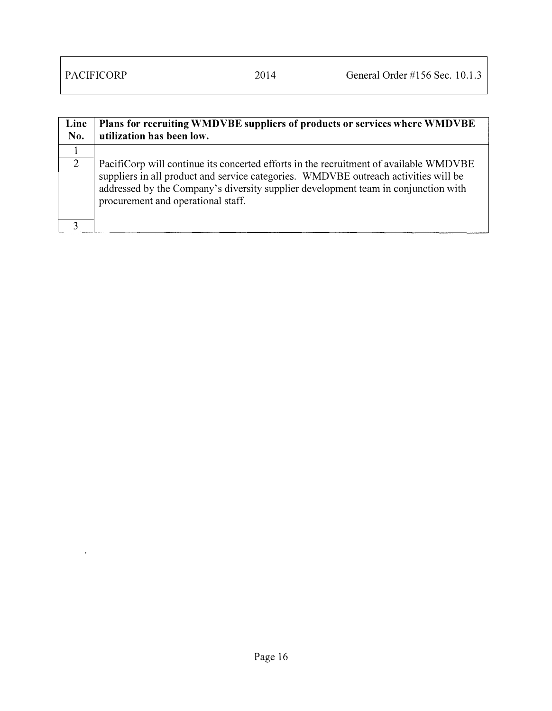$\hat{r}$ 

| Line<br>No. | Plans for recruiting WMDVBE suppliers of products or services where WMDVBE<br>utilization has been low.                                                                                                                                                                                                  |
|-------------|----------------------------------------------------------------------------------------------------------------------------------------------------------------------------------------------------------------------------------------------------------------------------------------------------------|
|             |                                                                                                                                                                                                                                                                                                          |
| 2           | PacifiCorp will continue its concerted efforts in the recruitment of available WMDVBE<br>suppliers in all product and service categories. WMDVBE outreach activities will be<br>addressed by the Company's diversity supplier development team in conjunction with<br>procurement and operational staff. |
|             |                                                                                                                                                                                                                                                                                                          |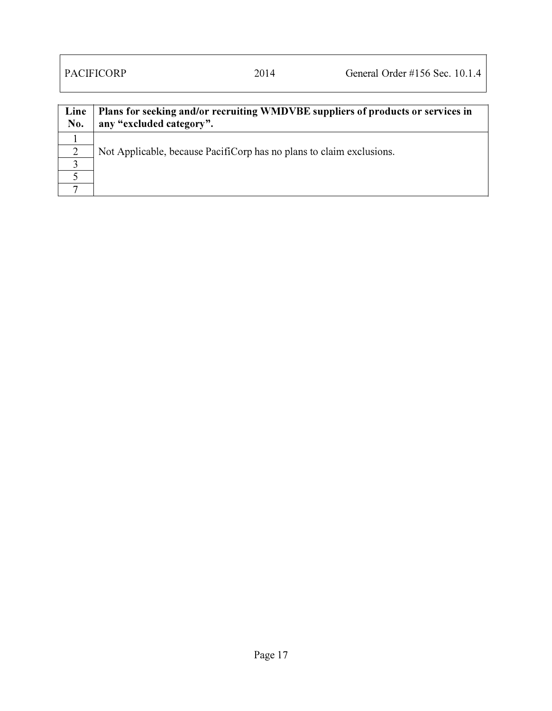| Line<br>No. | Plans for seeking and/or recruiting WMDVBE suppliers of products or services in<br>any "excluded category". |
|-------------|-------------------------------------------------------------------------------------------------------------|
|             |                                                                                                             |
| 2           | Not Applicable, because PacifiCorp has no plans to claim exclusions.                                        |
|             |                                                                                                             |
|             |                                                                                                             |
|             |                                                                                                             |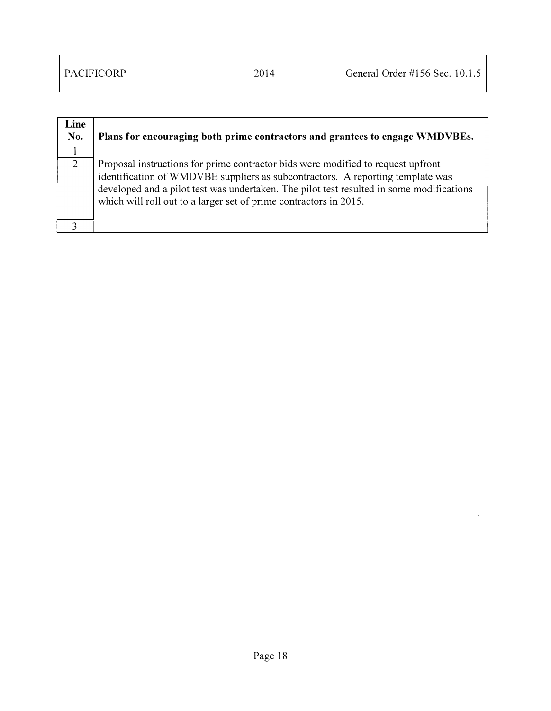J.

| Line<br>No. | Plans for encouraging both prime contractors and grantees to engage WMDVBEs.                                                                                                                                                                                                                                                        |
|-------------|-------------------------------------------------------------------------------------------------------------------------------------------------------------------------------------------------------------------------------------------------------------------------------------------------------------------------------------|
|             |                                                                                                                                                                                                                                                                                                                                     |
| 2           | Proposal instructions for prime contractor bids were modified to request upfront<br>identification of WMDVBE suppliers as subcontractors. A reporting template was<br>developed and a pilot test was undertaken. The pilot test resulted in some modifications<br>which will roll out to a larger set of prime contractors in 2015. |
|             |                                                                                                                                                                                                                                                                                                                                     |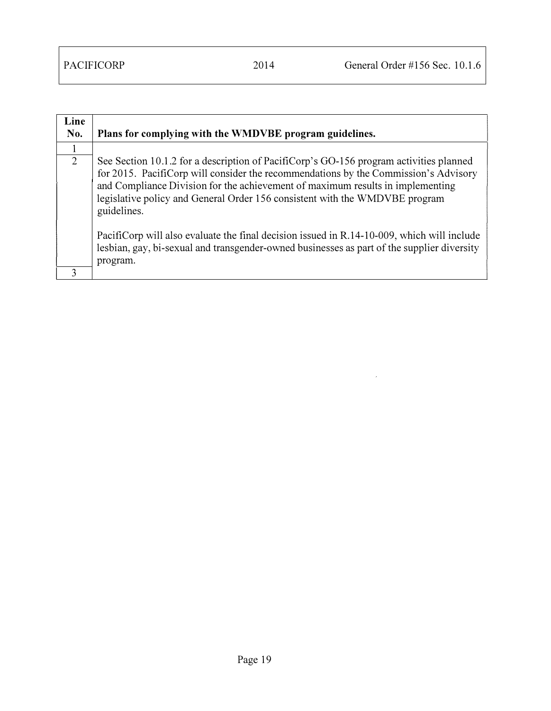| Line<br>No. | Plans for complying with the WMDVBE program guidelines.                                                                                                                                                                                                                                                                                                                                                                                                                                                                                                   |
|-------------|-----------------------------------------------------------------------------------------------------------------------------------------------------------------------------------------------------------------------------------------------------------------------------------------------------------------------------------------------------------------------------------------------------------------------------------------------------------------------------------------------------------------------------------------------------------|
|             |                                                                                                                                                                                                                                                                                                                                                                                                                                                                                                                                                           |
| 2           | See Section 10.1.2 for a description of PacifiCorp's GO-156 program activities planned<br>for 2015. PacifiCorp will consider the recommendations by the Commission's Advisory<br>and Compliance Division for the achievement of maximum results in implementing<br>legislative policy and General Order 156 consistent with the WMDVBE program<br>guidelines.<br>PacifiCorp will also evaluate the final decision issued in R.14-10-009, which will include<br>lesbian, gay, bi-sexual and transgender-owned businesses as part of the supplier diversity |
| 3           | program.                                                                                                                                                                                                                                                                                                                                                                                                                                                                                                                                                  |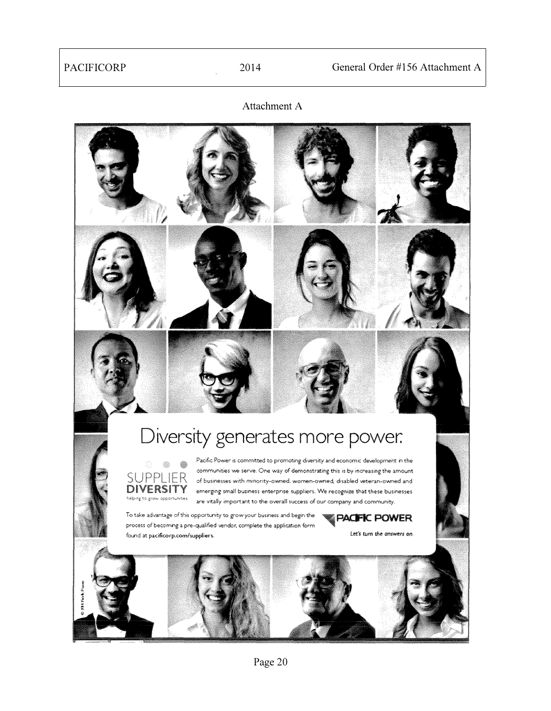Attachment A

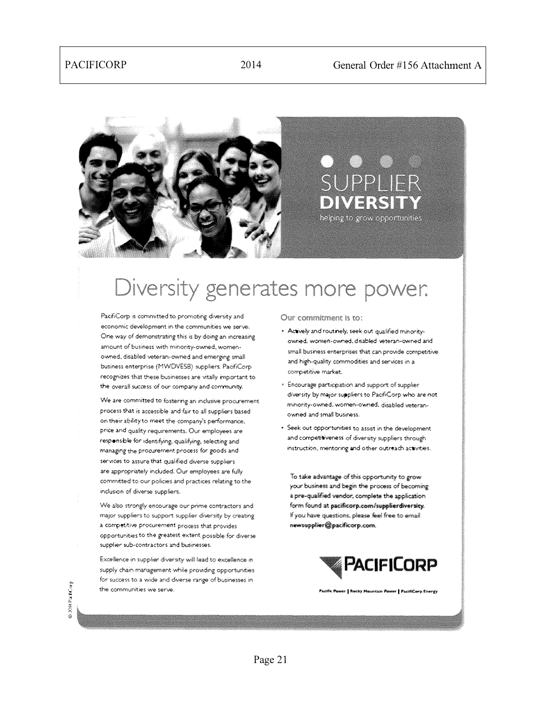

## SUPPI IFR IMERS I helping to grow opportunities

# Diversity generates more power.

PacifiCorp is committed to promoting diversity and economic development in the communities we serve. One way of demonstrating this is by doing an increasing amount of business with minority-owned, womenowned, disabled veteran-owned and emerging small business enterprise (MWDVESB) suppliers. PacifiCorprecognizes that these businesses are witally important to the overall success of our compary and community.

We are committed to fostering an inclusive procurement process that is accessible and fair to all suppliers based on their ability to meet the company's performance, price and quality requirements. Our employees are responsble for identifying, qualifying, selecting and managing the procurement process for goods and services to assure that qualified diverse suppliers. are appropriately included. Our employees are fully committed to our policies and practices relating to the inclusion of diverse suppliers.

We also strongly encourage our prime contractors and major suppliers to support supplier diversity by creating a competitive procurement process that provides opportunities to the greatest extent possible for diverse supplier sub-contractors and businesses.

Excellence in supplier diversity will lead to excellence in supply chain management while providing opportunities for success to a wide and diverse range of businesses in the communities we serve.

Our commitment is to:

- Actively and routinely, seek out qualified minorityowned, women-owned, disabled veteran-owned and small business enterprises that can provide competitive and high-quality commodities and services in a competitive market.
- · Encourage participation and support of supplier diversity by major suppliers to PacifiCorp who are not. minority-owned, women-owned, disabled veteranowned and small business.
- Seek out opportunities to assist in the development and competitiveness of diversity suppliers through instruction, mentoring and other outreach activities.

To take advantage of this opportunity to grow your business and begin the process of becoming a pre-qualified vendor, complete the application form found at pacificorp.com/supplierdiversity. If you have questions, please feel free to email newsupplier@pacificorp.com.



ver | Rocky Mountain Power | PacifiCorp Energy